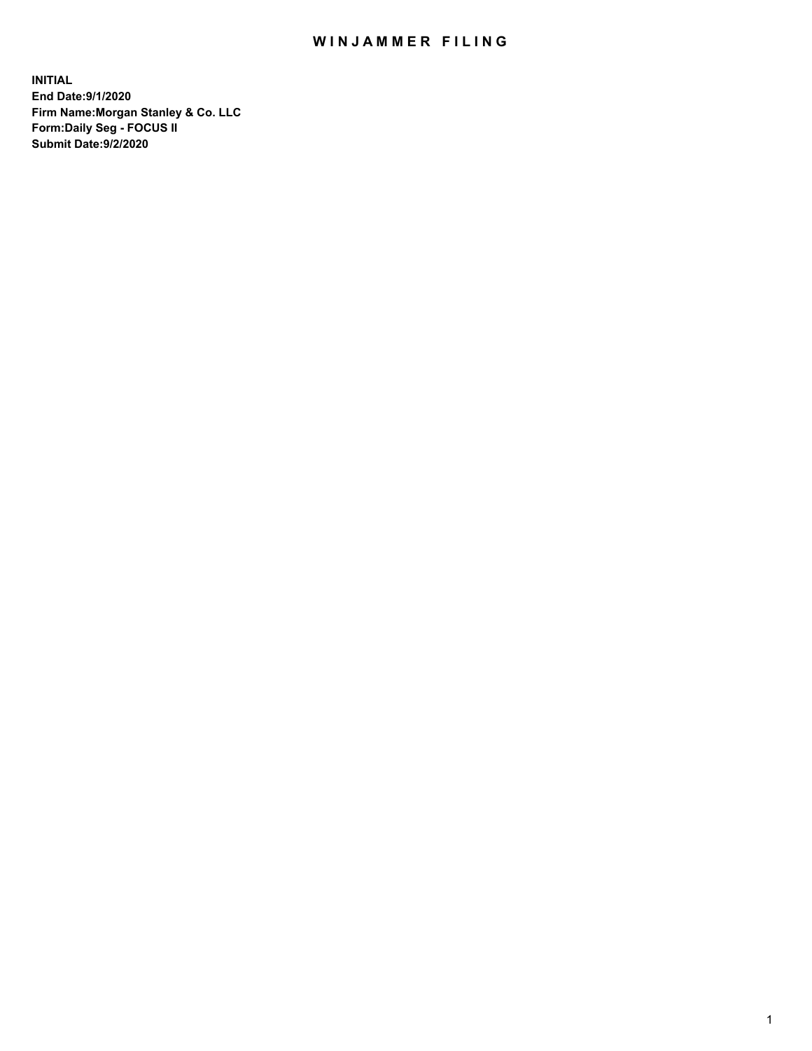## WIN JAMMER FILING

**INITIAL End Date:9/1/2020 Firm Name:Morgan Stanley & Co. LLC Form:Daily Seg - FOCUS II Submit Date:9/2/2020**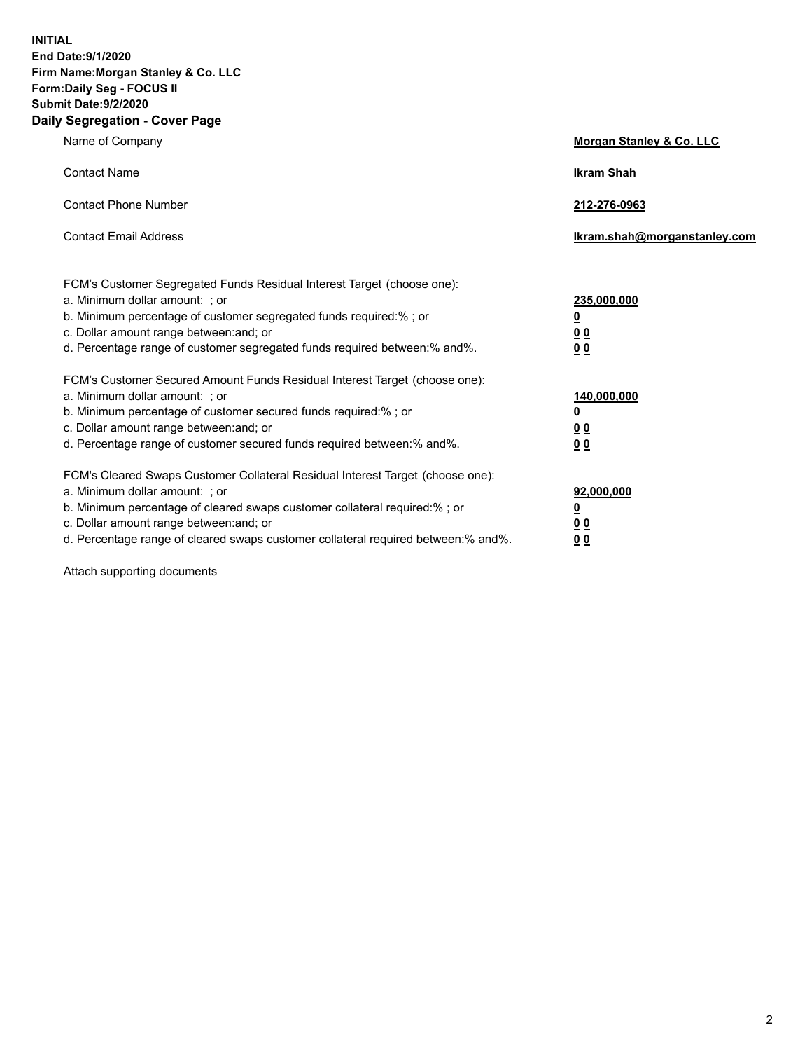**INITIAL End Date:9/1/2020 Firm Name:Morgan Stanley & Co. LLC Form:Daily Seg - FOCUS II Submit Date:9/2/2020 Daily Segregation - Cover Page**

| Name of Company                                                                   | Morgan Stanley & Co. LLC     |
|-----------------------------------------------------------------------------------|------------------------------|
| <b>Contact Name</b>                                                               | <b>Ikram Shah</b>            |
| <b>Contact Phone Number</b>                                                       | 212-276-0963                 |
| <b>Contact Email Address</b>                                                      | Ikram.shah@morganstanley.com |
| FCM's Customer Segregated Funds Residual Interest Target (choose one):            |                              |
| a. Minimum dollar amount: ; or                                                    | 235,000,000                  |
| b. Minimum percentage of customer segregated funds required:%; or                 | <u>0</u>                     |
| c. Dollar amount range between: and; or                                           | <u>00</u>                    |
| d. Percentage range of customer segregated funds required between:% and%.         | 0 Q                          |
| FCM's Customer Secured Amount Funds Residual Interest Target (choose one):        |                              |
| a. Minimum dollar amount: ; or                                                    | 140,000,000                  |
| b. Minimum percentage of customer secured funds required:%; or                    | <u>0</u>                     |
| c. Dollar amount range between: and; or                                           | <u>0 0</u>                   |
| d. Percentage range of customer secured funds required between: % and %.          | 0 Q                          |
| FCM's Cleared Swaps Customer Collateral Residual Interest Target (choose one):    |                              |
| a. Minimum dollar amount: ; or                                                    | 92,000,000                   |
| b. Minimum percentage of cleared swaps customer collateral required:% ; or        | <u>0</u>                     |
| c. Dollar amount range between: and; or                                           | 0 Q                          |
| d. Percentage range of cleared swaps customer collateral required between:% and%. | 0 <sub>0</sub>               |
|                                                                                   |                              |

Attach supporting documents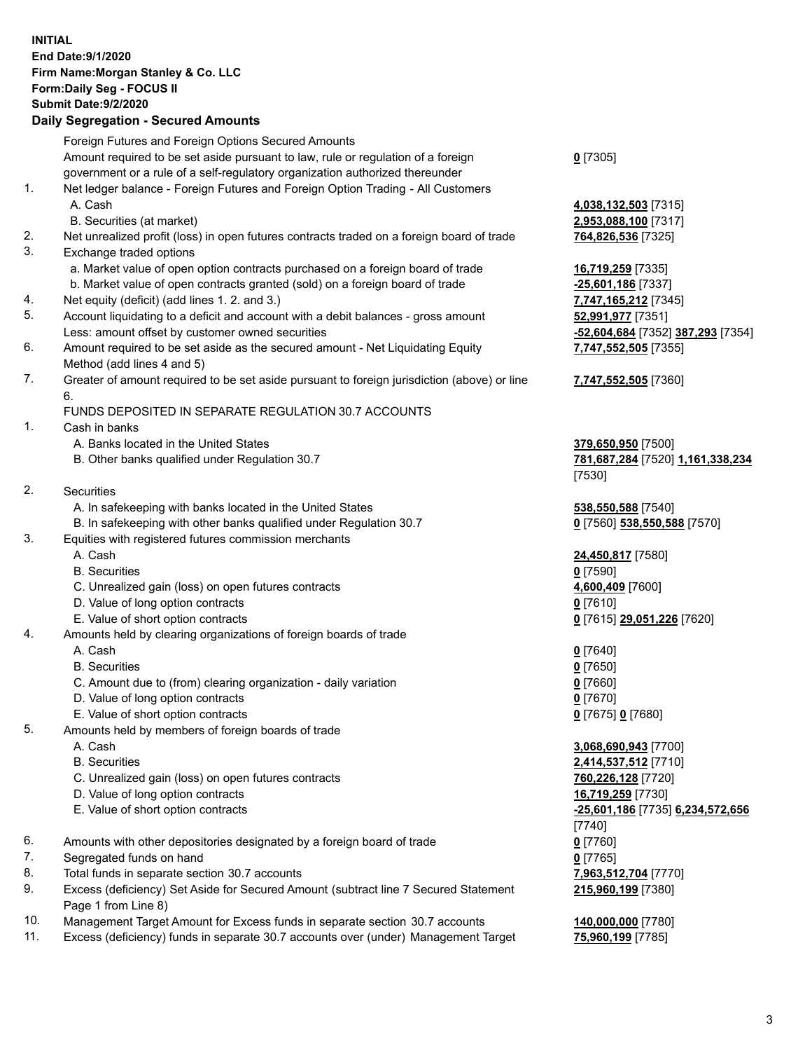| <b>INITIAL</b> | End Date: 9/1/2020                                                                                                                      |                                                               |
|----------------|-----------------------------------------------------------------------------------------------------------------------------------------|---------------------------------------------------------------|
|                | Firm Name: Morgan Stanley & Co. LLC                                                                                                     |                                                               |
|                | Form: Daily Seg - FOCUS II<br><b>Submit Date: 9/2/2020</b>                                                                              |                                                               |
|                | <b>Daily Segregation - Secured Amounts</b>                                                                                              |                                                               |
|                |                                                                                                                                         |                                                               |
|                | Foreign Futures and Foreign Options Secured Amounts<br>Amount required to be set aside pursuant to law, rule or regulation of a foreign |                                                               |
|                | government or a rule of a self-regulatory organization authorized thereunder                                                            | $0$ [7305]                                                    |
| 1.             | Net ledger balance - Foreign Futures and Foreign Option Trading - All Customers                                                         |                                                               |
|                | A. Cash                                                                                                                                 | 4,038,132,503 [7315]                                          |
|                | B. Securities (at market)                                                                                                               | 2,953,088,100 [7317]                                          |
| 2.             | Net unrealized profit (loss) in open futures contracts traded on a foreign board of trade                                               | 764,826,536 [7325]                                            |
| 3.             | Exchange traded options                                                                                                                 |                                                               |
|                | a. Market value of open option contracts purchased on a foreign board of trade                                                          | 16,719,259 [7335]                                             |
|                | b. Market value of open contracts granted (sold) on a foreign board of trade                                                            | $-25,601,186$ [7337]                                          |
| 4.             | Net equity (deficit) (add lines 1. 2. and 3.)                                                                                           | 7,747,165,212 [7345]                                          |
| 5.             | Account liquidating to a deficit and account with a debit balances - gross amount                                                       | 52,991,977 [7351]                                             |
|                | Less: amount offset by customer owned securities                                                                                        | -52,604,684 [7352] 387,293 [7354]                             |
| 6.             | Amount required to be set aside as the secured amount - Net Liquidating Equity                                                          | 7,747,552,505 [7355]                                          |
|                | Method (add lines 4 and 5)                                                                                                              |                                                               |
| 7.             | Greater of amount required to be set aside pursuant to foreign jurisdiction (above) or line                                             | 7,747,552,505 [7360]                                          |
|                | 6.                                                                                                                                      |                                                               |
| 1.             | FUNDS DEPOSITED IN SEPARATE REGULATION 30.7 ACCOUNTS<br>Cash in banks                                                                   |                                                               |
|                | A. Banks located in the United States                                                                                                   |                                                               |
|                | B. Other banks qualified under Regulation 30.7                                                                                          | 379,650,950 [7500]<br><u>781,687,284</u> [7520] 1,161,338,234 |
|                |                                                                                                                                         | [7530]                                                        |
| 2.             | <b>Securities</b>                                                                                                                       |                                                               |
|                | A. In safekeeping with banks located in the United States                                                                               | 538,550,588 [7540]                                            |
|                | B. In safekeeping with other banks qualified under Regulation 30.7                                                                      | 0 [7560] 538,550,588 [7570]                                   |
| 3.             | Equities with registered futures commission merchants                                                                                   |                                                               |
|                | A. Cash                                                                                                                                 | 24,450,817 [7580]                                             |
|                | <b>B.</b> Securities                                                                                                                    | $0$ [7590]                                                    |
|                | C. Unrealized gain (loss) on open futures contracts                                                                                     | 4,600,409 [7600]                                              |
|                | D. Value of long option contracts                                                                                                       | $0$ [7610]                                                    |
|                | E. Value of short option contracts                                                                                                      | <u>0</u> [7615] <u>29,051,226</u> [7620]                      |
| 4.             | Amounts held by clearing organizations of foreign boards of trade                                                                       |                                                               |
|                | A. Cash                                                                                                                                 | $0$ [7640]                                                    |
|                | <b>B.</b> Securities                                                                                                                    | $0$ [7650]                                                    |
|                | C. Amount due to (from) clearing organization - daily variation                                                                         | $0$ [7660]                                                    |
|                | D. Value of long option contracts                                                                                                       | $0$ [7670]                                                    |
| 5.             | E. Value of short option contracts<br>Amounts held by members of foreign boards of trade                                                | 0 [7675] 0 [7680]                                             |
|                | A. Cash                                                                                                                                 | 3,068,690,943 [7700]                                          |
|                | <b>B.</b> Securities                                                                                                                    | 2,414,537,512 [7710]                                          |
|                | C. Unrealized gain (loss) on open futures contracts                                                                                     | 760,226,128 [7720]                                            |
|                | D. Value of long option contracts                                                                                                       | 16,719,259 [7730]                                             |
|                | E. Value of short option contracts                                                                                                      | -25,601,186 [7735] 6,234,572,656                              |
|                |                                                                                                                                         | [7740]                                                        |
| 6.             | Amounts with other depositories designated by a foreign board of trade                                                                  | 0 [7760]                                                      |
| 7.             | Segregated funds on hand                                                                                                                | $0$ [7765]                                                    |
| 8.             | Total funds in separate section 30.7 accounts                                                                                           | 7,963,512,704 [7770]                                          |
| 9.             | Excess (deficiency) Set Aside for Secured Amount (subtract line 7 Secured Statement                                                     | 215,960,199 [7380]                                            |
|                | Page 1 from Line 8)                                                                                                                     |                                                               |
| 10.            | Management Target Amount for Excess funds in separate section 30.7 accounts                                                             | 140,000,000 [7780]                                            |

11. Excess (deficiency) funds in separate 30.7 accounts over (under) Management Target **75,960,199** [7785]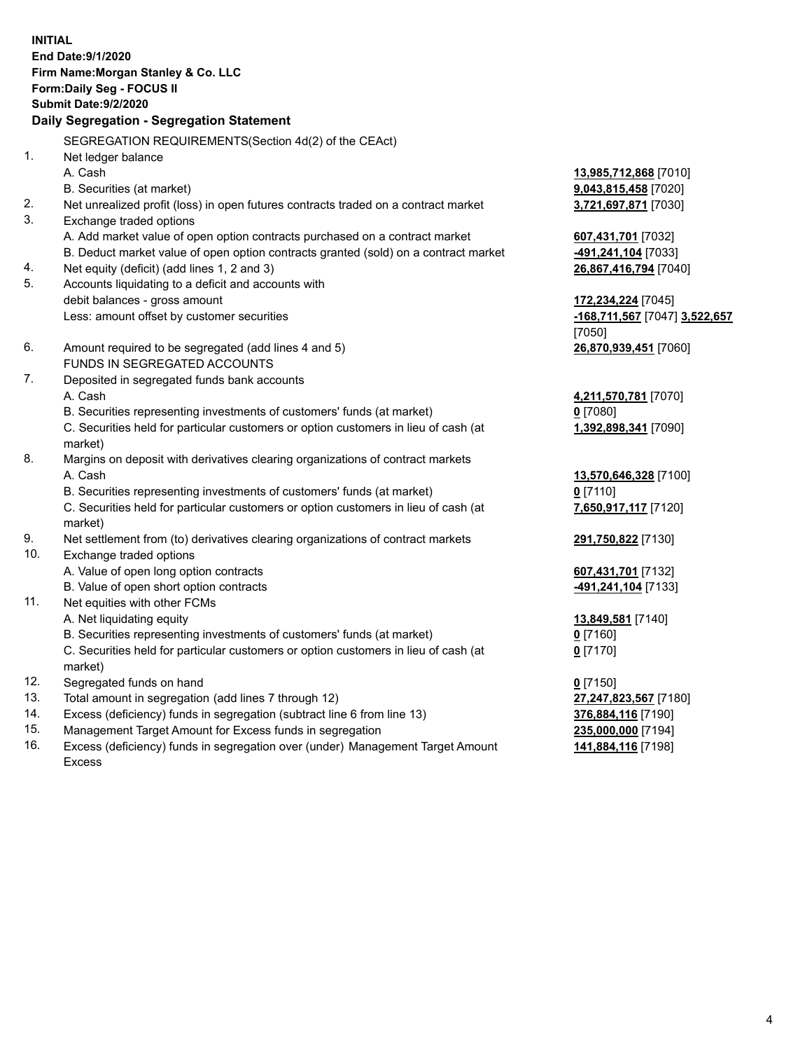|     | <b>INITIAL</b><br>End Date: 9/1/2020<br>Firm Name: Morgan Stanley & Co. LLC<br>Form: Daily Seg - FOCUS II<br><b>Submit Date: 9/2/2020</b><br>Daily Segregation - Segregation Statement |                               |
|-----|----------------------------------------------------------------------------------------------------------------------------------------------------------------------------------------|-------------------------------|
|     | SEGREGATION REQUIREMENTS(Section 4d(2) of the CEAct)                                                                                                                                   |                               |
| 1.  | Net ledger balance                                                                                                                                                                     |                               |
|     | A. Cash                                                                                                                                                                                | 13,985,712,868 [7010]         |
|     | B. Securities (at market)                                                                                                                                                              | 9,043,815,458 [7020]          |
| 2.  | Net unrealized profit (loss) in open futures contracts traded on a contract market                                                                                                     | 3,721,697,871 [7030]          |
| 3.  | Exchange traded options                                                                                                                                                                |                               |
|     | A. Add market value of open option contracts purchased on a contract market                                                                                                            | 607,431,701 [7032]            |
|     | B. Deduct market value of open option contracts granted (sold) on a contract market                                                                                                    | 491,241,104 [7033]            |
| 4.  | Net equity (deficit) (add lines 1, 2 and 3)                                                                                                                                            | 26,867,416,794 [7040]         |
| 5.  | Accounts liquidating to a deficit and accounts with                                                                                                                                    |                               |
|     | debit balances - gross amount                                                                                                                                                          | 172,234,224 [7045]            |
|     | Less: amount offset by customer securities                                                                                                                                             | -168,711,567 [7047] 3,522,657 |
|     |                                                                                                                                                                                        | [7050]                        |
| 6.  | Amount required to be segregated (add lines 4 and 5)                                                                                                                                   | 26,870,939,451 [7060]         |
|     | FUNDS IN SEGREGATED ACCOUNTS                                                                                                                                                           |                               |
| 7.  | Deposited in segregated funds bank accounts                                                                                                                                            |                               |
|     | A. Cash                                                                                                                                                                                | 4,211,570,781 [7070]          |
|     | B. Securities representing investments of customers' funds (at market)                                                                                                                 | $0$ [7080]                    |
|     | C. Securities held for particular customers or option customers in lieu of cash (at                                                                                                    | 1,392,898,341 [7090]          |
|     | market)                                                                                                                                                                                |                               |
| 8.  | Margins on deposit with derivatives clearing organizations of contract markets                                                                                                         |                               |
|     | A. Cash                                                                                                                                                                                | 13,570,646,328 [7100]         |
|     | B. Securities representing investments of customers' funds (at market)                                                                                                                 | $0$ [7110]                    |
|     | C. Securities held for particular customers or option customers in lieu of cash (at<br>market)                                                                                         | 7,650,917,117 [7120]          |
| 9.  | Net settlement from (to) derivatives clearing organizations of contract markets                                                                                                        | 291,750,822 [7130]            |
| 10. | Exchange traded options                                                                                                                                                                |                               |
|     | A. Value of open long option contracts                                                                                                                                                 | 607,431,701 [7132]            |
|     | B. Value of open short option contracts                                                                                                                                                | -491,241,104 [7133]           |
| 11. | Net equities with other FCMs                                                                                                                                                           |                               |
|     | A. Net liquidating equity                                                                                                                                                              | 13,849,581 [7140]             |
|     | B. Securities representing investments of customers' funds (at market)                                                                                                                 | <u>0</u> [7160]               |
|     | C. Securities held for particular customers or option customers in lieu of cash (at                                                                                                    | $0$ [7170]                    |
|     | market)                                                                                                                                                                                |                               |
| 12. | Segregated funds on hand                                                                                                                                                               | $0$ [7150]                    |
| 13. | Total amount in segregation (add lines 7 through 12)                                                                                                                                   | 27,247,823,567 [7180]         |
| 14. | Excess (deficiency) funds in segregation (subtract line 6 from line 13)                                                                                                                | 376,884,116 [7190]            |
| 15. | Management Target Amount for Excess funds in segregation                                                                                                                               | 235,000,000 [7194]            |

16. Excess (deficiency) funds in segregation over (under) Management Target Amount Excess

**141,884,116** [7198]